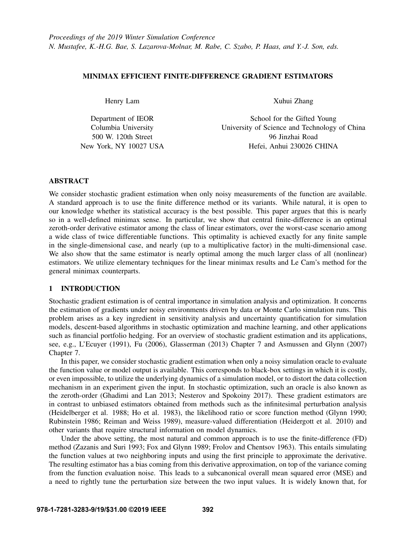# MINIMAX EFFICIENT FINITE-DIFFERENCE GRADIENT ESTIMATORS

Henry Lam

Department of IEOR Columbia University 500 W. 120th Street New York, NY 10027 USA Xuhui Zhang

School for the Gifted Young University of Science and Technology of China 96 Jinzhai Road Hefei, Anhui 230026 CHINA

# **ABSTRACT**

We consider stochastic gradient estimation when only noisy measurements of the function are available. A standard approach is to use the finite difference method or its variants. While natural, it is open to our knowledge whether its statistical accuracy is the best possible. This paper argues that this is nearly so in a well-defined minimax sense. In particular, we show that central finite-difference is an optimal zeroth-order derivative estimator among the class of linear estimators, over the worst-case scenario among a wide class of twice differentiable functions. This optimality is achieved exactly for any finite sample in the single-dimensional case, and nearly (up to a multiplicative factor) in the multi-dimensional case. We also show that the same estimator is nearly optimal among the much larger class of all (nonlinear) estimators. We utilize elementary techniques for the linear minimax results and Le Cam's method for the general minimax counterparts.

# 1 INTRODUCTION

Stochastic gradient estimation is of central importance in simulation analysis and optimization. It concerns the estimation of gradients under noisy environments driven by data or Monte Carlo simulation runs. This problem arises as a key ingredient in sensitivity analysis and uncertainty quantification for simulation models, descent-based algorithms in stochastic optimization and machine learning, and other applications such as financial portfolio hedging. For an overview of stochastic gradient estimation and its applications, see, e.g., [L'Ecuyer \(1991\),](#page-11-0) [Fu \(2006\),](#page-11-1) [Glasserman \(2013\)](#page-11-2) Chapter 7 and [Asmussen and Glynn \(2007\)](#page-10-0) Chapter 7.

In this paper, we consider stochastic gradient estimation when only a noisy simulation oracle to evaluate the function value or model output is available. This corresponds to black-box settings in which it is costly, or even impossible, to utilize the underlying dynamics of a simulation model, or to distort the data collection mechanism in an experiment given the input. In stochastic optimization, such an oracle is also known as the zeroth-order [\(Ghadimi and Lan 2013;](#page-11-3) [Nesterov and Spokoiny 2017\)](#page-11-4). These gradient estimators are in contrast to unbiased estimators obtained from methods such as the infinitesimal perturbation analysis [\(Heidelberger et al. 1988;](#page-11-5) [Ho et al. 1983\)](#page-11-6), the likelihood ratio or score function method [\(Glynn 1990;](#page-11-7) [Rubinstein 1986;](#page-11-8) [Reiman and Weiss 1989\)](#page-11-9), measure-valued differentiation [\(Heidergott et al. 2010\)](#page-11-10) and other variants that require structural information on model dynamics.

Under the above setting, the most natural and common approach is to use the finite-difference (FD) method [\(Zazanis and Suri 1993;](#page-11-11) [Fox and Glynn 1989;](#page-11-12) [Frolov and Chentsov 1963\)](#page-11-13). This entails simulating the function values at two neighboring inputs and using the first principle to approximate the derivative. The resulting estimator has a bias coming from this derivative approximation, on top of the variance coming from the function evaluation noise. This leads to a subcanonical overall mean squared error (MSE) and a need to rightly tune the perturbation size between the two input values. It is widely known that, for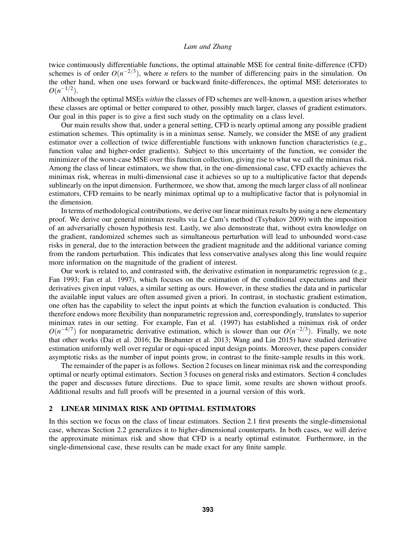twice continuously differentiable functions, the optimal attainable MSE for central finite-difference (CFD) schemes is of order  $O(n^{-2/3})$ , where *n* refers to the number of differencing pairs in the simulation. On the other hand, when one uses forward or backward finite-differences, the optimal MSE deteriorates to  $O(n^{-1/2})$ .

Although the optimal MSEs *within* the classes of FD schemes are well-known, a question arises whether these classes are optimal or better compared to other, possibly much larger, classes of gradient estimators. Our goal in this paper is to give a first such study on the optimality on a class level.

Our main results show that, under a general setting, CFD is nearly optimal among any possible gradient estimation schemes. This optimality is in a minimax sense. Namely, we consider the MSE of any gradient estimator over a collection of twice differentiable functions with unknown function characteristics (e.g., function value and higher-order gradients). Subject to this uncertainty of the function, we consider the minimizer of the worst-case MSE over this function collection, giving rise to what we call the minimax risk. Among the class of linear estimators, we show that, in the one-dimensional case, CFD exactly achieves the minimax risk, whereas in multi-dimensional case it achieves so up to a multiplicative factor that depends sublinearly on the input dimension. Furthermore, we show that, among the much larger class of all nonlinear estimators, CFD remains to be nearly minimax optimal up to a multiplicative factor that is polynomial in the dimension.

In terms of methodological contributions, we derive our linear minimax results by using a new elementary proof. We derive our general minimax results via Le Cam's method [\(Tsybakov 2009\)](#page-11-14) with the imposition of an adversarially chosen hypothesis test. Lastly, we also demonstrate that, without extra knowledge on the gradient, randomized schemes such as simultaneous perturbation will lead to unbounded worst-case risks in general, due to the interaction between the gradient magnitude and the additional variance coming from the random perturbation. This indicates that less conservative analyses along this line would require more information on the magnitude of the gradient of interest.

Our work is related to, and contrasted with, the derivative estimation in nonparametric regression (e.g., [Fan 1993;](#page-10-1) [Fan et al. 1997\)](#page-10-2), which focuses on the estimation of the conditional expectations and their derivatives given input values, a similar setting as ours. However, in these studies the data and in particular the available input values are often assumed given a priori. In contrast, in stochastic gradient estimation, one often has the capability to select the input points at which the function evaluation is conducted. This therefore endows more flexibility than nonparametric regression and, correspondingly, translates to superior minimax rates in our setting. For example, [Fan et al. \(1997\)](#page-10-2) has established a minimax risk of order  $O(n^{-4/7})$  for nonparametric derivative estimation, which is slower than our  $O(n^{-2/3})$ . Finally, we note that other works [\(Dai et al. 2016;](#page-10-3) [De Brabanter et al. 2013;](#page-10-4) [Wang and Lin 2015\)](#page-11-15) have studied derivative estimation uniformly well over regular or equi-spaced input design points. Moreover, these papers consider asymptotic risks as the number of input points grow, in contrast to the finite-sample results in this work.

The remainder of the paper is as follows. Section [2](#page-1-0) focuses on linear minimax risk and the corresponding optimal or nearly optimal estimators. Section [3](#page-8-0) focuses on general risks and estimators. Section [4](#page-10-5) concludes the paper and discusses future directions. Due to space limit, some results are shown without proofs. Additional results and full proofs will be presented in a journal version of this work.

## <span id="page-1-0"></span>2 LINEAR MINIMAX RISK AND OPTIMAL ESTIMATORS

In this section we focus on the class of linear estimators. Section [2.1](#page-2-0) first presents the single-dimensional case, whereas Section [2.2](#page-4-0) generalizes it to higher-dimensional counterparts. In both cases, we will derive the approximate minimax risk and show that CFD is a nearly optimal estimator. Furthermore, in the single-dimensional case, these results can be made exact for any finite sample.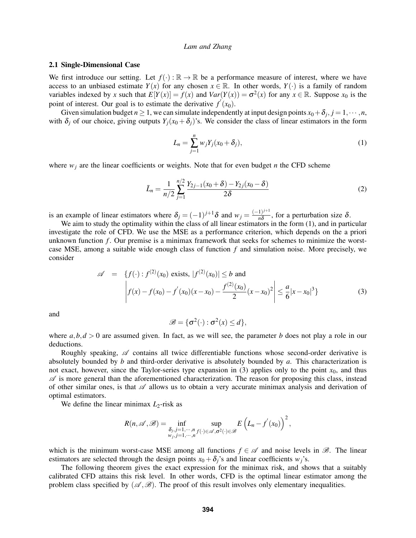## <span id="page-2-0"></span>2.1 Single-Dimensional Case

We first introduce our setting. Let  $f(\cdot): \mathbb{R} \to \mathbb{R}$  be a performance measure of interest, where we have access to an unbiased estimate *Y*(*x*) for any chosen  $x \in \mathbb{R}$ . In other words, *Y*(·) is a family of random variables indexed by *x* such that  $E[Y(x)] = f(x)$  and  $Var(Y(x)) = \sigma^2(x)$  for any  $x \in \mathbb{R}$ . Suppose  $x_0$  is the point of interest. Our goal is to estimate the derivative  $f'(x_0)$ .

Given simulation budget  $n \geq 1$ , we can simulate independently at input design points  $x_0 + \delta_j$ ,  $j = 1, \dots, n$ , with  $\delta$ *j* of our choice, giving outputs  $Y_j(x_0 + \delta_j)$ 's. We consider the class of linear estimators in the form

<span id="page-2-1"></span>
$$
L_n = \sum_{j=1}^n w_j Y_j (x_0 + \delta_j), \tag{1}
$$

where  $w_j$  are the linear coefficients or weights. Note that for even budget *n* the CFD scheme

<span id="page-2-3"></span>
$$
\bar{L}_n = \frac{1}{n/2} \sum_{j=1}^{n/2} \frac{Y_{2j-1}(x_0 + \delta) - Y_{2j}(x_0 - \delta)}{2\delta} \tag{2}
$$

is an example of linear estimators where  $\delta_j = (-1)^{j+1} \delta$  and  $w_j = \frac{(-1)^{j+1}}{n\delta}$  $\frac{1}{n\delta}$ , for a perturbation size  $\delta$ .

We aim to study the optimality within the class of all linear estimators in the form  $(1)$ , and in particular investigate the role of CFD. We use the MSE as a performance criterion, which depends on the a priori unknown function *f* . Our premise is a minimax framework that seeks for schemes to minimize the worstcase MSE, among a suitable wide enough class of function *f* and simulation noise. More precisely, we consider

<span id="page-2-2"></span>
$$
\mathscr{A} = \left\{ f(\cdot) : f^{(2)}(x_0) \text{ exists, } |f^{(2)}(x_0)| \le b \text{ and } \left| f(x) - f(x_0) - f'(x_0)(x - x_0) - \frac{f^{(2)}(x_0)}{2}(x - x_0)^2 \right| \le \frac{a}{6} |x - x_0|^3 \tag{3}
$$

and

$$
\mathscr{B} = \{ \sigma^2(\cdot) : \sigma^2(x) \leq d \},\
$$

where  $a, b, d > 0$  are assumed given. In fact, as we will see, the parameter *b* does not play a role in our deductions.

Roughly speaking,  $\mathscr A$  contains all twice differentiable functions whose second-order derivative is absolutely bounded by *b* and third-order derivative is absolutely bounded by *a*. This characterization is not exact, however, since the Taylor-series type expansion in [\(3\)](#page-2-2) applies only to the point *x*0, and thus  $\mathscr A$  is more general than the aforementioned characterization. The reason for proposing this class, instead of other similar ones, is that  $\mathscr A$  allows us to obtain a very accurate minimax analysis and derivation of optimal estimators.

We define the linear minimax  $L_2$ -risk as

$$
R(n,\mathscr{A},\mathscr{B})=\inf_{\substack{\delta_j,j=1,\cdots,n\\w_j,j=1,\cdots,n}}\sup_{f(\cdot)\in\mathscr{A},\sigma^2(\cdot)\in\mathscr{B}}E\left(L_n-f'(x_0)\right)^2,
$$

which is the minimum worst-case MSE among all functions  $f \in \mathcal{A}$  and noise levels in  $\mathcal{B}$ . The linear estimators are selected through the design points  $x_0 + \delta_j$ 's and linear coefficients *w<sub>i</sub>*'s.

The following theorem gives the exact expression for the minimax risk, and shows that a suitably calibrated CFD attains this risk level. In other words, CFD is the optimal linear estimator among the problem class specified by  $(\mathcal{A}, \mathcal{B})$ . The proof of this result involves only elementary inequalities.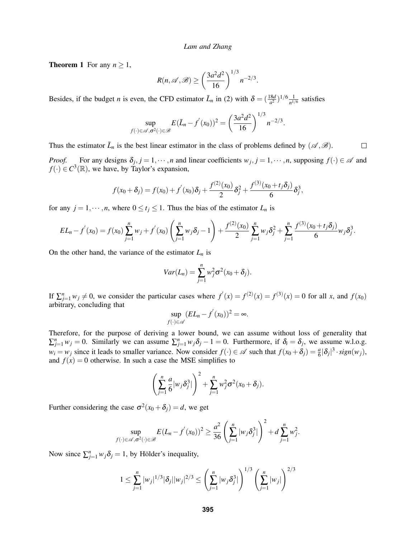<span id="page-3-0"></span>**Theorem 1** For any  $n \geq 1$ ,

$$
R(n,\mathscr{A},\mathscr{B}) \ge \left(\frac{3a^2d^2}{16}\right)^{1/3} n^{-2/3}.
$$

Besides, if the budget *n* is even, the CFD estimator  $\bar{L}_n$  in [\(2\)](#page-2-3) with  $\delta = (\frac{18d}{a^2})^{1/6} \frac{1}{n^{1/6}}$  $\frac{1}{n^{1/6}}$  satisfies

$$
\sup_{f(\cdot)\in\mathscr{A},\sigma^2(\cdot)\in\mathscr{B}} E(\bar{L}_n-f'(x_0))^2 = \left(\frac{3a^2d^2}{16}\right)^{1/3} n^{-2/3}.
$$

Thus the estimator  $\bar{L}_n$  is the best linear estimator in the class of problems defined by  $(\mathscr{A}, \mathscr{B})$ .  $\Box$ 

*Proof.* For any designs  $\delta_j$ ,  $j = 1, \dots, n$  and linear coefficients  $w_j$ ,  $j = 1, \dots, n$ , supposing  $f(\cdot) \in \mathcal{A}$  and  $f(\cdot) \in C^3(\mathbb{R})$ , we have, by Taylor's expansion,

$$
f(x_0+\delta_j)=f(x_0)+f'(x_0)\delta_j+\frac{f^{(2)}(x_0)}{2}\delta_j^2+\frac{f^{(3)}(x_0+t_j\delta_j)}{6}\delta_j^3,
$$

for any  $j = 1, \dots, n$ , where  $0 \le t_j \le 1$ . Thus the bias of the estimator  $L_n$  is

$$
EL_n - f'(x_0) = f(x_0) \sum_{j=1}^n w_j + f'(x_0) \left( \sum_{j=1}^n w_j \delta_j - 1 \right) + \frac{f^{(2)}(x_0)}{2} \sum_{j=1}^n w_j \delta_j^2 + \sum_{j=1}^n \frac{f^{(3)}(x_0 + t_j \delta_j)}{6} w_j \delta_j^3.
$$

On the other hand, the variance of the estimator  $L_n$  is

$$
Var(L_n) = \sum_{j=1}^n w_j^2 \sigma^2 (x_0 + \delta_j).
$$

If  $\sum_{j=1}^{n} w_j \neq 0$ , we consider the particular cases where  $f'(x) = f^{(2)}(x) = f^{(3)}(x) = 0$  for all *x*, and  $f(x_0)$ arbitrary, concluding that

$$
\sup_{f(\cdot)\in\mathscr{A}}(EL_n-f^{'}(x_0))^2=\infty.
$$

Therefore, for the purpose of deriving a lower bound, we can assume without loss of generality that  $\sum_{j=1}^{n} w_j = 0$ . Similarly we can assume  $\sum_{j=1}^{n} w_j \delta_j - 1 = 0$ . Furthermore, if  $\delta_i = \delta_j$ , we assume w.l.o.g.  $w_i = w_j$  since it leads to smaller variance. Now consider  $f(\cdot) \in \mathcal{A}$  such that  $f(x_0 + \delta_j) = \frac{a}{6} |\delta_j|^3 \cdot sign(w_j)$ , and  $f(x) = 0$  otherwise. In such a case the MSE simplifies to

$$
\left(\sum_{j=1}^n \frac{a}{6} |w_j \delta_j^3|\right)^2 + \sum_{j=1}^n w_j^2 \sigma^2(x_0 + \delta_j).
$$

Further considering the case  $\sigma^2(x_0 + \delta_j) = d$ , we get

$$
\sup_{f(\cdot)\in\mathscr{A},\sigma^2(\cdot)\in\mathscr{B}} E(L_n-f'(x_0))^2 \geq \frac{a^2}{36}\left(\sum_{j=1}^n |w_j\delta_j^3|\right)^2 + d\sum_{j=1}^n w_j^2.
$$

Now since  $\sum_{j=1}^{n} w_j \delta_j = 1$ , by Hölder's inequality,

$$
1 \leq \sum_{j=1}^n |w_j|^{1/3} |\delta_j| |w_j|^{2/3} \leq \left( \sum_{j=1}^n |w_j \delta_j^3| \right)^{1/3} \left( \sum_{j=1}^n |w_j| \right)^{2/3}
$$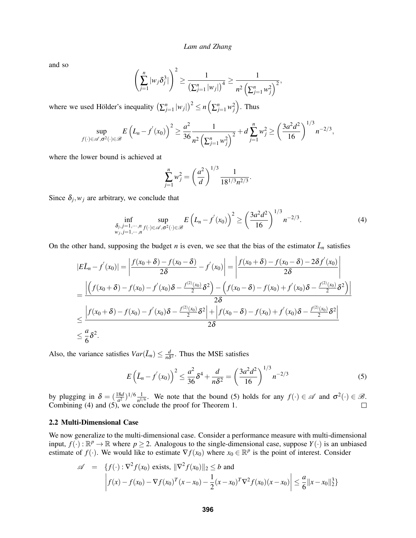and so

$$
\left(\sum_{j=1}^n |w_j \delta_j^3|\right)^2 \ge \frac{1}{\left(\sum_{j=1}^n |w_j|\right)^4} \ge \frac{1}{n^2 \left(\sum_{j=1}^n w_j^2\right)^2},
$$

where we used Hölder's inequality  $(\sum_{j=1}^n |w_j|)^2 \le n(\sum_{j=1}^n w_j^2)$ . Thus

$$
\sup_{f(\cdot)\in\mathscr{A},\sigma^2(\cdot)\in\mathscr{B}} E\left(L_n-f'(x_0)\right)^2 \geq \frac{a^2}{36} \frac{1}{n^2 \left(\sum_{j=1}^n w_j^2\right)^2} + d \sum_{j=1}^n w_j^2 \geq \left(\frac{3a^2d^2}{16}\right)^{1/3} n^{-2/3},
$$

where the lower bound is achieved at

$$
\sum_{j=1}^{n} w_j^2 = \left(\frac{a^2}{d}\right)^{1/3} \frac{1}{18^{1/3} n^{2/3}}.
$$

Since  $\delta_j$ ,  $w_j$  are arbitrary, we conclude that

<span id="page-4-2"></span>
$$
\inf_{\substack{\delta_j, j=1,\cdots,n \\ w_j, j=1,\cdots,n}} \sup_{f(\cdot)\in\mathscr{A}, \sigma^2(\cdot)\in\mathscr{B}} E\left(L_n - f'(x_0)\right)^2 \ge \left(\frac{3a^2d^2}{16}\right)^{1/3} n^{-2/3}.\tag{4}
$$

On the other hand, supposing the budget *n* is even, we see that the bias of the estimator  $\bar{L}_n$  satisfies

$$
|E\bar{L}_n - f'(x_0)| = \left| \frac{f(x_0 + \delta) - f(x_0 - \delta)}{2\delta} - f'(x_0) \right| = \left| \frac{f(x_0 + \delta) - f(x_0 - \delta) - 2\delta f'(x_0)}{2\delta} \right|
$$
  
= 
$$
\frac{\left| \left( f(x_0 + \delta) - f(x_0) - f'(x_0)\delta - \frac{f^{(2)}(x_0)}{2}\delta^2 \right) - \left( f(x_0 - \delta) - f(x_0) + f'(x_0)\delta - \frac{f^{(2)}(x_0)}{2}\delta^2 \right) \right|}{2\delta}
$$
  

$$
\leq \frac{\left| f(x_0 + \delta) - f(x_0) - f'(x_0)\delta - \frac{f^{(2)}(x_0)}{2}\delta^2 \right| + \left| f(x_0 - \delta) - f(x_0) + f'(x_0)\delta - \frac{f^{(2)}(x_0)}{2}\delta^2 \right|}{2\delta}
$$
  

$$
\leq \frac{a}{6}\delta^2.
$$

Also, the variance satisfies  $Var(\bar{L}_n) \leq \frac{d}{n\delta}$  $\frac{d}{n\delta^2}$ . Thus the MSE satisfies

<span id="page-4-1"></span>
$$
E\left(\bar{L}_n - f'(x_0)\right)^2 \le \frac{a^2}{36}\delta^4 + \frac{d}{n\delta^2} = \left(\frac{3a^2d^2}{16}\right)^{1/3}n^{-2/3}
$$
 (5)

by plugging in  $\delta = (\frac{18d}{a^2})^{1/6} \frac{1}{n^{1/6}}$  $\frac{1}{n^{1/6}}$ . We note that the bound [\(5\)](#page-4-1) holds for any  $f(\cdot) \in \mathscr{A}$  and  $\sigma^2(\cdot) \in \mathscr{B}$ . Combining [\(4\)](#page-4-2) and [\(5\)](#page-4-1), we conclude the proof for Theorem [1.](#page-3-0)

# <span id="page-4-0"></span>2.2 Multi-Dimensional Case

We now generalize to the multi-dimensional case. Consider a performance measure with multi-dimensional input,  $f(\cdot): \mathbb{R}^p \to \mathbb{R}$  where  $p \ge 2$ . Analogous to the single-dimensional case, suppose  $Y(\cdot)$  is an unbiased estimate of  $f(\cdot)$ . We would like to estimate  $\nabla f(x_0)$  where  $x_0 \in \mathbb{R}^p$  is the point of interest. Consider

$$
\mathscr{A} = \{f(\cdot) : \nabla^2 f(x_0) \text{ exists, } ||\nabla^2 f(x_0)||_2 \le b \text{ and}
$$

$$
\left| f(x) - f(x_0) - \nabla f(x_0)^T (x - x_0) - \frac{1}{2} (x - x_0)^T \nabla^2 f(x_0) (x - x_0) \right| \le \frac{a}{6} ||x - x_0||_2^3 \}
$$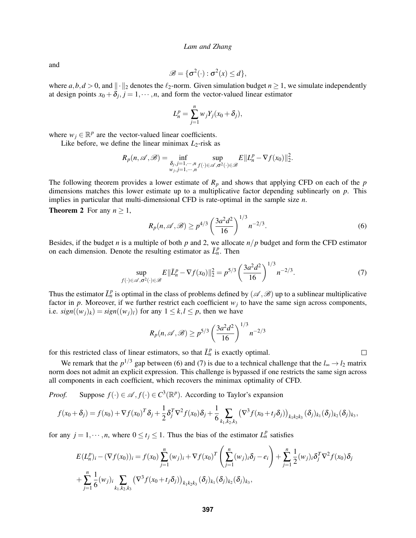and

$$
\mathscr{B} = \{ \sigma^2(\cdot) : \sigma^2(x) \leq d \},\
$$

where  $a, b, d > 0$ , and  $\|\cdot\|_2$  denotes the  $\ell_2$ -norm. Given simulation budget  $n \ge 1$ , we simulate independently at design points  $x_0 + \delta_j$ ,  $j = 1, \dots, n$ , and form the vector-valued linear estimator

$$
L_n^p = \sum_{j=1}^n w_j Y_j(x_0 + \delta_j),
$$

where  $w_j \in \mathbb{R}^p$  are the vector-valued linear coefficients.

Like before, we define the linear minimax  $L_2$ -risk as

$$
R_p(n,\mathscr{A},\mathscr{B}) = \inf_{\substack{\delta_j,j=1,\cdots,n\\w_j,j=1,\cdots,n}} \sup_{f(\cdot)\in\mathscr{A},\sigma^2(\cdot)\in\mathscr{B}} E||L_n^p - \nabla f(x_0)||_2^2.
$$

The following theorem provides a lower estimate of  $R_p$  and shows that applying CFD on each of the  $p$ dimensions matches this lower estimate up to a multiplicative factor depending sublinearly on *p*. This implies in particular that multi-dimensional CFD is rate-optimal in the sample size *n*.

<span id="page-5-2"></span>**Theorem 2** For any  $n \geq 1$ ,

<span id="page-5-0"></span>
$$
R_p(n, \mathcal{A}, \mathcal{B}) \ge p^{4/3} \left(\frac{3a^2d^2}{16}\right)^{1/3} n^{-2/3}.
$$
 (6)

Besides, if the budget *n* is a multiple of both  $p$  and 2, we allocate  $n/p$  budget and form the CFD estimator on each dimension. Denote the resulting estimator as  $\bar{L}_n^p$ . Then

<span id="page-5-1"></span>
$$
\sup_{f(\cdot) \in \mathscr{A}, \sigma^2(\cdot) \in \mathscr{B}} E\|\bar{L}_n^p - \nabla f(x_0)\|_2^2 = p^{5/3} \left(\frac{3a^2d^2}{16}\right)^{1/3} n^{-2/3}.\tag{7}
$$

Thus the estimator  $\bar{L}_n^p$  is optimal in the class of problems defined by  $(\mathscr{A}, \mathscr{B})$  up to a sublinear multiplicative factor in  $p$ . Moreover, if we further restrict each coefficient  $w_j$  to have the same sign across components, i.e.  $sign((w_i)_k) = sign((w_i)_l)$  for any  $1 \leq k, l \leq p$ , then we have

$$
R_p(n, \mathscr{A}, \mathscr{B}) \ge p^{5/3} \left(\frac{3a^2d^2}{16}\right)^{1/3} n^{-2/3}
$$

for this restricted class of linear estimators, so that  $\bar{L}_n^p$  is exactly optimal.

We remark that the  $p^{1/3}$  gap between [\(6\)](#page-5-0) and [\(7\)](#page-5-1) is due to a technical challenge that the  $l_{\infty} \to l_2$  matrix norm does not admit an explicit expression. This challenge is bypassed if one restricts the same sign across all components in each coefficient, which recovers the minimax optimality of CFD.

*Proof.* Suppose  $f(\cdot) \in \mathcal{A}$ ,  $f(\cdot) \in C^3(\mathbb{R}^p)$ . According to Taylor's expansion

$$
f(x_0+\delta_j) = f(x_0) + \nabla f(x_0)^T \delta_j + \frac{1}{2} \delta_j^T \nabla^2 f(x_0) \delta_j + \frac{1}{6} \sum_{k_1,k_2,k_3} (\nabla^3 f(x_0+t_j \delta_j))_{k_1k_2k_3} (\delta_j)_{k_1} (\delta_j)_{k_2} (\delta_j)_{k_3},
$$

for any  $j = 1, \dots, n$ , where  $0 \le t_j \le 1$ . Thus the bias of the estimator  $L_n^p$  satisfies

$$
E(L_n^p)_i - (\nabla f(x_0))_i = f(x_0) \sum_{j=1}^n (w_j)_i + \nabla f(x_0)^T \left( \sum_{j=1}^n (w_j)_i \delta_j - e_i \right) + \sum_{j=1}^n \frac{1}{2} (w_j)_i \delta_j^T \nabla^2 f(x_0) \delta_j
$$
  
+ 
$$
\sum_{j=1}^n \frac{1}{6} (w_j)_i \sum_{k_1, k_2, k_3} (\nabla^3 f(x_0 + t_j \delta_j))_{k_1 k_2 k_3} (\delta_j)_{k_1} (\delta_j)_{k_2} (\delta_j)_{k_3},
$$

 $\Box$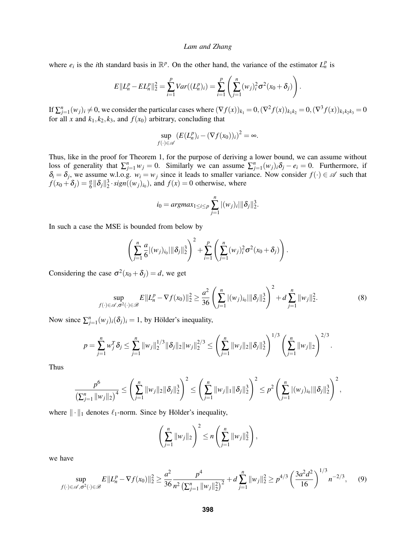where  $e_i$  is the *i*th standard basis in  $\mathbb{R}^p$ . On the other hand, the variance of the estimator  $L_n^p$  is

$$
E||L_n^p - EL_n^p||_2^2 = \sum_{i=1}^p Var((L_n^p)_i) = \sum_{i=1}^p \left( \sum_{j=1}^n (w_j)_i^2 \sigma^2 (x_0 + \delta_j) \right).
$$

If  $\sum_{j=1}^n (w_j)_i \neq 0$ , we consider the particular cases where  $(\nabla f(x))_{k_1} = 0$ ,  $(\nabla^2 f(x))_{k_1 k_2} = 0$ ,  $(\nabla^3 f(x))_{k_1 k_2 k_3} = 0$ for all *x* and  $k_1$ ,  $k_2$ ,  $k_3$ , and  $f(x_0)$  arbitrary, concluding that

$$
\sup_{f(\cdot)\in\mathscr{A}}\left(E(L_n^p)_i - (\nabla f(x_0))_i\right)^2 = \infty.
$$

Thus, like in the proof for Theorem [1,](#page-3-0) for the purpose of deriving a lower bound, we can assume without loss of generality that  $\sum_{j=1}^{n} w_j = 0$ . Similarly we can assume  $\sum_{j=1}^{n} (w_j)_i \delta_j - e_i = 0$ . Furthermore, if  $\delta_i = \delta_j$ , we assume w.l.o.g.  $w_i = w_j$  since it leads to smaller variance. Now consider  $f(\cdot) \in \mathcal{A}$  such that  $f(x_0 + \delta_j) = \frac{a}{6} ||\delta_j||_2^3 \cdot sign((w_j)_{i_0})$ , and  $f(x) = 0$  otherwise, where

$$
i_0 = argmax_{1 \leq i \leq p} \sum_{j=1}^n |(w_j)_i| \|\delta_j\|_2^3.
$$

In such a case the MSE is bounded from below by

$$
\left(\sum_{j=1}^n \frac{a}{6} |(w_j)_{i_0}| \|\delta_j\|_2^3\right)^2 + \sum_{i=1}^p \left(\sum_{j=1}^n (w_j)_i^2 \sigma^2(x_0 + \delta_j)\right).
$$

Considering the case  $\sigma^2(x_0 + \delta_j) = d$ , we get

<span id="page-6-0"></span>
$$
\sup_{f(\cdot)\in\mathscr{A},\sigma^2(\cdot)\in\mathscr{B}} E||L_n^p - \nabla f(x_0)||_2^2 \ge \frac{a^2}{36} \left(\sum_{j=1}^n |(w_j)_{i_0}|\|\delta_j\|_2^2\right)^2 + d \sum_{j=1}^n \|w_j\|_2^2.
$$
 (8)

Now since  $\sum_{j=1}^{n} (w_j)_i (\delta_j)_i = 1$ , by Hölder's inequality,

$$
p = \sum_{j=1}^n w_j^T \delta_j \le \sum_{j=1}^n \|w_j\|_2^{1/3} \|\delta_j\|_2 \|w_j\|_2^{2/3} \le \left(\sum_{j=1}^n \|w_j\|_2 \|\delta_j\|_2^3\right)^{1/3} \left(\sum_{j=1}^n \|w_j\|_2\right)^{2/3}.
$$

Thus

$$
\frac{p^6}{\left(\sum_{j=1}^n ||w_j||_2\right)^4} \leq \left(\sum_{j=1}^n ||w_j||_2 ||\delta_j||_2^3\right)^2 \leq \left(\sum_{j=1}^n ||w_j||_1 ||\delta_j||_2^3\right)^2 \leq p^2 \left(\sum_{j=1}^n |(w_j)_{i_0}||\delta_j||_2^3\right)^2,
$$

where  $\|\cdot\|_1$  denotes  $\ell_1$ -norm. Since by Hölder's inequality,

$$
\left(\sum_{j=1}^n ||w_j||_2\right)^2 \leq n \left(\sum_{j=1}^n ||w_j||_2^2\right),
$$

we have

<span id="page-6-1"></span>
$$
\sup_{f(\cdot) \in \mathscr{A}, \sigma^2(\cdot) \in \mathscr{B}} E\|L_n^p - \nabla f(x_0)\|_2^2 \ge \frac{a^2}{36} \frac{p^4}{n^2 \left(\sum_{j=1}^n \|w_j\|_2^2\right)^2} + d \sum_{j=1}^n \|w_j\|_2^2 \ge p^{4/3} \left(\frac{3a^2 d^2}{16}\right)^{1/3} n^{-2/3},\tag{9}
$$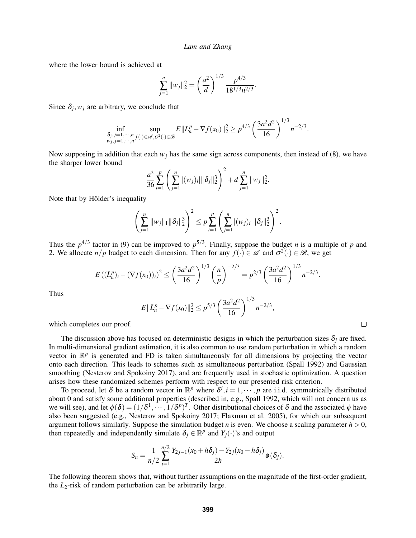where the lower bound is achieved at

$$
\sum_{j=1}^{n} ||w_j||_2^2 = \left(\frac{a^2}{d}\right)^{1/3} \frac{p^{4/3}}{18^{1/3}n^{2/3}}.
$$

Since  $\delta_j$ ,  $w_j$  are arbitrary, we conclude that

$$
\inf_{\substack{\delta_j, j=1,\cdots,n \\ w_j, j=1,\cdots,n}} \sup_{f(\cdot)\in\mathscr{A}, \sigma^2(\cdot)\in\mathscr{B}} E||L_n^p - \nabla f(x_0)||_2^2 \ge p^{4/3} \left(\frac{3a^2d^2}{16}\right)^{1/3} n^{-2/3}.
$$

Now supposing in addition that each  $w_j$  has the same sign across components, then instead of [\(8\)](#page-6-0), we have the sharper lower bound

$$
\frac{a^2}{36}\sum_{i=1}^p\left(\sum_{j=1}^n|(w_j)_i|\|\delta_j\|_2^3\right)^2+d\sum_{j=1}^n\|w_j\|_2^2.
$$

Note that by Hölder's inequality

$$
\left(\sum_{j=1}^n ||w_j||_1 ||\delta_j||_2^3\right)^2 \leq p \sum_{i=1}^p \left(\sum_{j=1}^n |(w_j)_i| ||\delta_j||_2^3\right)^2.
$$

Thus the  $p^{4/3}$  factor in [\(9\)](#page-6-1) can be improved to  $p^{5/3}$ . Finally, suppose the budget *n* is a multiple of *p* and 2. We allocate  $n/p$  budget to each dimension. Then for any  $f(\cdot) \in \mathscr{A}$  and  $\sigma^2(\cdot) \in \mathscr{B}$ , we get

$$
E((\bar{L}_n^p)_i-(\nabla f(x_0))_i)^2\leq \left(\frac{3a^2d^2}{16}\right)^{1/3}\left(\frac{n}{p}\right)^{-2/3}=p^{2/3}\left(\frac{3a^2d^2}{16}\right)^{1/3}n^{-2/3}.
$$

Thus

$$
E\|\bar{L}_n^p - \nabla f(x_0)\|_2^2 \le p^{5/3} \left(\frac{3a^2d^2}{16}\right)^{1/3} n^{-2/3},
$$

 $\Box$ 

which completes our proof.

The discussion above has focused on deterministic designs in which the perturbation sizes  $\delta_i$  are fixed. In multi-dimensional gradient estimation, it is also common to use random perturbation in which a random vector in  $\mathbb{R}^p$  is generated and FD is taken simultaneously for all dimensions by projecting the vector onto each direction. This leads to schemes such as simultaneous perturbation [\(Spall 1992\)](#page-11-16) and Gaussian smoothing [\(Nesterov and Spokoiny 2017\)](#page-11-4), and are frequently used in stochastic optimization. A question arises how these randomized schemes perform with respect to our presented risk criterion.

To proceed, let  $\delta$  be a random vector in  $\mathbb{R}^p$  where  $\delta^i$ ,  $i = 1, \dots, p$  are i.i.d. symmetrically distributed about 0 and satisfy some additional properties (described in, e.g., [Spall 1992,](#page-11-16) which will not concern us as we will see), and let  $\phi(\delta) = (1/\delta^1, \dots, 1/\delta^p)^T$ . Other distributional choices of  $\delta$  and the associated  $\phi$  have also been suggested (e.g., [Nesterov and Spokoiny 2017;](#page-11-4) [Flaxman et al. 2005\)](#page-10-6), for which our subsequent argument follows similarly. Suppose the simulation budget *n* is even. We choose a scaling parameter  $h > 0$ , then repeatedly and independently simulate  $\delta_j \in \mathbb{R}^p$  and  $Y_j(\cdot)$ 's and output

$$
S_n = \frac{1}{n/2} \sum_{j=1}^{n/2} \frac{Y_{2j-1}(x_0 + h\delta_j) - Y_{2j}(x_0 - h\delta_j)}{2h} \phi(\delta_j).
$$

The following theorem shows that, without further assumptions on the magnitude of the first-order gradient, the *L*2-risk of random perturbation can be arbitrarily large.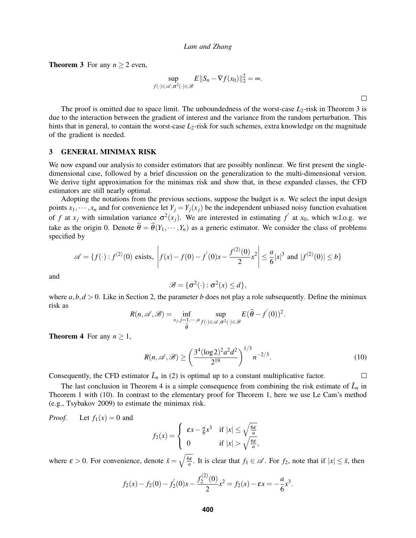<span id="page-8-1"></span>**Theorem 3** For any  $n \ge 2$  even,

$$
\sup_{f(\cdot)\in\mathscr{A},\sigma^2(\cdot)\in\mathscr{B}} E||S_n-\nabla f(x_0)||_2^2=\infty.
$$

The proof is omitted due to space limit. The unboundedness of the worst-case  $L_2$ -risk in Theorem [3](#page-8-1) is due to the interaction between the gradient of interest and the variance from the random perturbation. This hints that in general, to contain the worst-case  $L_2$ -risk for such schemes, extra knowledge on the magnitude of the gradient is needed.

#### <span id="page-8-0"></span>3 GENERAL MINIMAX RISK

We now expand our analysis to consider estimators that are possibly nonlinear. We first present the singledimensional case, followed by a brief discussion on the generalization to the multi-dimensional version. We derive tight approximation for the minimax risk and show that, in these expanded classes, the CFD estimators are still nearly optimal.

Adopting the notations from the previous sections, suppose the budget is *n*. We select the input design points  $x_1, \dots, x_n$  and for convenience let  $Y_j = Y_j(x_j)$  be the independent unbiased noisy function evaluation of *f* at  $x_j$  with simulation variance  $\sigma^2(x_j)$ . We are interested in estimating  $f'$  at  $x_0$ , which w.l.o.g. we take as the origin 0. Denote  $\hat{\theta} = \hat{\theta}(Y_1,\dots, Y_n)$  as a generic estimator. We consider the class of problems specified by

$$
\mathscr{A} = \{ f(\cdot) : f^{(2)}(0) \text{ exists, } \left| f(x) - f(0) - f'(0)x - \frac{f^{(2)}(0)}{2}x^2 \right| \le \frac{a}{6}|x|^3 \text{ and } |f^{(2)}(0)| \le b \}
$$

and

$$
\mathscr{B} = \{ \sigma^2(\cdot) : \sigma^2(x) \leq d \},\
$$

where  $a, b, d > 0$ . Like in Section [2,](#page-1-0) the parameter *b* does not play a role subsequently. Define the minimax risk as

$$
R(n,\mathscr{A},\mathscr{B})=\inf_{\substack{x_j,j=1,\cdots,n\\ \widehat{\theta}}} \sup_{f(\cdot)\in\mathscr{A},\sigma^2(\cdot)\in\mathscr{B}}} E(\widehat{\theta}-f^{'}(0))^2.
$$

**Theorem 4** For any  $n \geq 1$ ,

<span id="page-8-2"></span>
$$
R(n, \mathscr{A}, \mathscr{B}) \ge \left(\frac{3^4 (\log 2)^2 a^2 d^2}{2^{19}}\right)^{1/3} n^{-2/3}.
$$
 (10)

 $\Box$ 

Consequently, the CFD estimator  $\bar{L}_n$  in [\(2\)](#page-2-3) is optimal up to a constant multiplicative factor.

The last conclusion in Theorem [4](#page-8-2) is a simple consequence from combining the risk estimate of  $\bar{L}_n$  in Theorem [1](#page-3-0) with [\(10\)](#page-8-2). In contrast to the elementary proof for Theorem [1,](#page-3-0) here we use Le Cam's method (e.g., [Tsybakov 2009\)](#page-11-14) to estimate the minimax risk.

*Proof.* Let  $f_1(x) = 0$  and

$$
f_2(x) = \begin{cases} \n\epsilon x - \frac{a}{6}x^3 & \text{if } |x| \le \sqrt{\frac{6\epsilon}{a}} \\
0 & \text{if } |x| > \sqrt{\frac{6\epsilon}{a}},\n\end{cases}
$$

where  $\varepsilon > 0$ . For convenience, denote  $\bar{x} = \sqrt{\frac{6\varepsilon}{a}}$ . It is clear that  $f_1 \in \mathcal{A}$ . For  $f_2$ , note that if  $|x| \le \bar{x}$ , then

$$
f_2(x) - f_2(0) - f_2'(0)x - \frac{f_2^{(2)}(0)}{2}x^2 = f_2(x) - \varepsilon x = -\frac{a}{6}x^3.
$$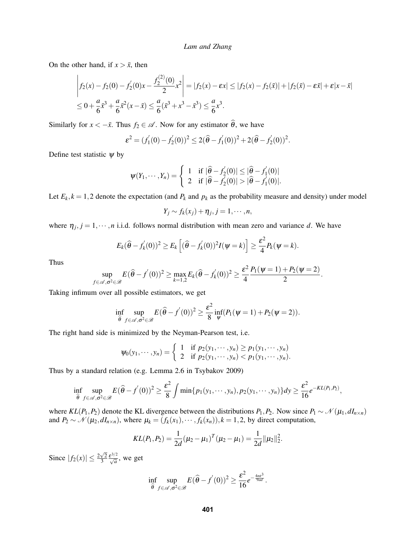On the other hand, if  $x > \bar{x}$ , then

$$
\begin{aligned} \left| f_2(x) - f_2(0) - f_2'(0)x - \frac{f_2^{(2)}(0)}{2} x^2 \right| &= |f_2(x) - \varepsilon x| \le |f_2(x) - f_2(\bar{x})| + |f_2(\bar{x}) - \varepsilon \bar{x}| + \varepsilon |x - \bar{x}| \\ &\le 0 + \frac{a}{6} \bar{x}^3 + \frac{a}{6} \bar{x}^2 (x - \bar{x}) \le \frac{a}{6} (\bar{x}^3 + x^3 - \bar{x}^3) \le \frac{a}{6} x^3. \end{aligned}
$$

Similarly for  $x < -\bar{x}$ . Thus  $f_2 \in \mathcal{A}$ . Now for any estimator  $\hat{\theta}$ , we have

$$
\varepsilon^2 = (f_1'(0) - f_2'(0))^2 \le 2(\hat{\theta} - f_1'(0))^2 + 2(\hat{\theta} - f_2'(0))^2.
$$

Define test statistic  $\psi$  by

$$
\psi(Y_1,\dots,Y_n) = \begin{cases} 1 & \text{if } |\hat{\theta} - f_2'(0)| \leq |\hat{\theta} - f_1'(0)| \\ 2 & \text{if } |\hat{\theta} - f_2'(0)| > |\hat{\theta} - f_1'(0)|. \end{cases}
$$

Let  $E_k$ ,  $k = 1,2$  denote the expectation (and  $P_k$  and  $p_k$  as the probability measure and density) under model

$$
Y_j \sim f_k(x_j) + \eta_j, j = 1, \cdots, n,
$$

where  $\eta_j$ ,  $j = 1, \dots, n$  i.i.d. follows normal distribution with mean zero and variance *d*. We have

$$
E_k(\widehat{\theta}-f'_k(0))^2\geq E_k\left[(\widehat{\theta}-f'_k(0))^2I(\psi=k)\right]\geq \frac{\varepsilon^2}{4}P_k(\psi=k).
$$

Thus

$$
\sup_{f\in\mathscr{A},\sigma^2\in\mathscr{B}}E(\widehat{\theta}-f^{'}(0))^2\geq\max_{k=1,2}E_k(\widehat{\theta}-f^{'}_k(0))^2\geq\frac{\varepsilon^2}{4}\frac{P_1(\psi=1)+P_2(\psi=2)}{2}.
$$

Taking infimum over all possible estimators, we get

$$
\inf_{\widehat{\theta}} \sup_{f \in \mathscr{A}, \sigma^2 \in \mathscr{B}} E(\widehat{\theta} - f'(0))^2 \geq \frac{\varepsilon^2}{8} \inf_{\psi} (P_1(\psi = 1) + P_2(\psi = 2)).
$$

The right hand side is minimized by the Neyman-Pearson test, i.e.

$$
\psi_0(y_1,\dots, y_n) = \begin{cases} 1 & \text{if } p_2(y_1,\dots, y_n) \ge p_1(y_1,\dots, y_n) \\ 2 & \text{if } p_2(y_1,\dots, y_n) < p_1(y_1,\dots, y_n). \end{cases}
$$

Thus by a standard relation (e.g. Lemma 2.6 in [Tsybakov 2009\)](#page-11-14)

$$
\inf_{\widehat{\theta}} \sup_{f \in \mathscr{A}, \sigma^2 \in \mathscr{B}} E(\widehat{\theta} - f'(0))^2 \geq \frac{\varepsilon^2}{8} \int \min\{p_1(y_1, \cdots, y_n), p_2(y_1, \cdots, y_n)\} dy \geq \frac{\varepsilon^2}{16} e^{-KL(P_1, P_2)},
$$

where  $KL(P_1, P_2)$  denote the KL divergence between the distributions  $P_1, P_2$ . Now since  $P_1 \sim \mathcal{N}(\mu_1, dI_{n \times n})$ and  $P_2 \sim \mathcal{N}(\mu_2, dI_{n \times n})$ , where  $\mu_k = (f_k(x_1), \dots, f_k(x_n)), k = 1, 2$ , by direct computation,

$$
KL(P_1, P_2) = \frac{1}{2d}(\mu_2 - \mu_1)^T(\mu_2 - \mu_1) = \frac{1}{2d} ||\mu_2||_2^2.
$$

Since  $|f_2(x)| \le \frac{2\sqrt{2}}{3}$  $rac{\sqrt{2}}{3} \frac{\varepsilon^{3/2}}{\sqrt{a}}$ , we get

$$
\inf_{\widehat{\theta}} \sup_{f \in \mathscr{A}, \sigma^2 \in \mathscr{B}} E(\widehat{\theta} - f'(0))^2 \geq \frac{\varepsilon^2}{16} e^{-\frac{4n\varepsilon^3}{9ad}}.
$$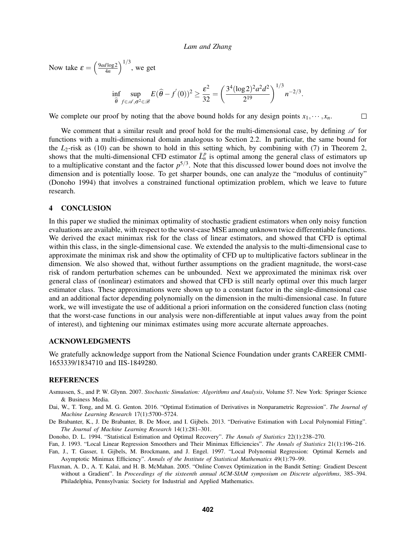Now take  $\varepsilon = \left(\frac{9ad \log 2}{4n}\right)$  $\frac{d \log 2}{4n}$ )<sup>1/3</sup>, we get

$$
\inf_{\widehat{\theta}} \sup_{f \in \mathscr{A}, \sigma^2 \in \mathscr{B}} E(\widehat{\theta} - f'(0))^2 \ge \frac{\varepsilon^2}{32} = \left(\frac{3^4 (\log 2)^2 a^2 d^2}{2^{19}}\right)^{1/3} n^{-2/3}.
$$

We complete our proof by noting that the above bound holds for any design points  $x_1, \dots, x_n$ .  $\Box$ 

We comment that a similar result and proof hold for the multi-dimensional case, by defining  $\mathscr A$  for functions with a multi-dimensional domain analogous to Section [2.2.](#page-4-0) In particular, the same bound for the *L*2-risk as [\(10\)](#page-8-2) can be shown to hold in this setting which, by combining with [\(7\)](#page-5-1) in Theorem [2,](#page-5-2) shows that the multi-dimensional CFD estimator  $\bar{L}_n^p$  is optimal among the general class of estimators up to a multiplicative constant and the factor  $p^{5/3}$ . Note that this discussed lower bound does not involve the dimension and is potentially loose. To get sharper bounds, one can analyze the "modulus of continuity" [\(Donoho 1994\)](#page-10-7) that involves a constrained functional optimization problem, which we leave to future research.

### <span id="page-10-5"></span>4 CONCLUSION

In this paper we studied the minimax optimality of stochastic gradient estimators when only noisy function evaluations are available, with respect to the worst-case MSE among unknown twice differentiable functions. We derived the exact minimax risk for the class of linear estimators, and showed that CFD is optimal within this class, in the single-dimensional case. We extended the analysis to the multi-dimensional case to approximate the minimax risk and show the optimality of CFD up to multiplicative factors sublinear in the dimension. We also showed that, without further assumptions on the gradient magnitude, the worst-case risk of random perturbation schemes can be unbounded. Next we approximated the minimax risk over general class of (nonlinear) estimators and showed that CFD is still nearly optimal over this much larger estimator class. These approximations were shown up to a constant factor in the single-dimensional case and an additional factor depending polynomially on the dimension in the multi-dimensional case. In future work, we will investigate the use of additional a priori information on the considered function class (noting that the worst-case functions in our analysis were non-differentiable at input values away from the point of interest), and tightening our minimax estimates using more accurate alternate approaches.

## ACKNOWLEDGMENTS

We gratefully acknowledge support from the National Science Foundation under grants CAREER CMMI-1653339/1834710 and IIS-1849280.

### **REFERENCES**

- <span id="page-10-0"></span>Asmussen, S., and P. W. Glynn. 2007. *Stochastic Simulation: Algorithms and Analysis*, Volume 57. New York: Springer Science & Business Media.
- <span id="page-10-3"></span>Dai, W., T. Tong, and M. G. Genton. 2016. "Optimal Estimation of Derivatives in Nonparametric Regression". *The Journal of Machine Learning Research* 17(1):5700–5724.
- <span id="page-10-4"></span>De Brabanter, K., J. De Brabanter, B. De Moor, and I. Gijbels. 2013. "Derivative Estimation with Local Polynomial Fitting". *The Journal of Machine Learning Research* 14(1):281–301.
- <span id="page-10-7"></span>Donoho, D. L. 1994. "Statistical Estimation and Optimal Recovery". *The Annals of Statistics* 22(1):238–270.
- <span id="page-10-1"></span>Fan, J. 1993. "Local Linear Regression Smoothers and Their Minimax Efficiencies". *The Annals of Statistics* 21(1):196–216.
- <span id="page-10-2"></span>Fan, J., T. Gasser, I. Gijbels, M. Brockmann, and J. Engel. 1997. "Local Polynomial Regression: Optimal Kernels and Asymptotic Minimax Efficiency". *Annals of the Institute of Statistical Mathematics* 49(1):79–99.
- <span id="page-10-6"></span>Flaxman, A. D., A. T. Kalai, and H. B. McMahan. 2005. "Online Convex Optimization in the Bandit Setting: Gradient Descent without a Gradient". In *Proceedings of the sixteenth annual ACM-SIAM symposium on Discrete algorithms*, 385–394. Philadelphia, Pennsylvania: Society for Industrial and Applied Mathematics.